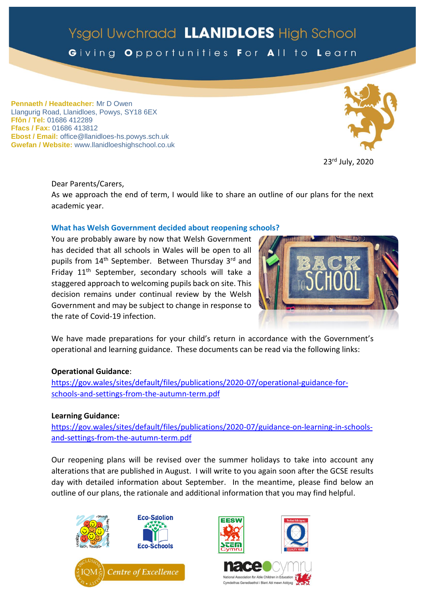# Ysgol Uwchradd LLANIDLOES High School

Giving Opportunities For All to Learn

**Pennaeth / Headteacher:** Mr D Owen Llangurig Road, Llanidloes, Powys, SY18 6EX **Ffôn / Tel:** 01686 412289 **Ffacs / Fax:** 01686 413812 **Ebost / Email:** office@llanidloes-hs.powys.sch.uk **Gwefan / Website:** www.llanidloeshighschool.co.uk





Dear Parents/Carers,

As we approach the end of term, I would like to share an outline of our plans for the next academic year.

### **What has Welsh Government decided about reopening schools?**

You are probably aware by now that Welsh Government has decided that all schools in Wales will be open to all pupils from 14<sup>th</sup> September. Between Thursday 3<sup>rd</sup> and Friday 11th September, secondary schools will take a staggered approach to welcoming pupils back on site. This decision remains under continual review by the Welsh Government and may be subject to change in response to the rate of Covid-19 infection.



We have made preparations for your child's return in accordance with the Government's operational and learning guidance. These documents can be read via the following links:

### **Operational Guidance**:

[https://gov.wales/sites/default/files/publications/2020-07/operational-guidance-for](https://gov.wales/sites/default/files/publications/2020-07/operational-guidance-for-schools-and-settings-from-the-autumn-term.pdf)[schools-and-settings-from-the-autumn-term.pdf](https://gov.wales/sites/default/files/publications/2020-07/operational-guidance-for-schools-and-settings-from-the-autumn-term.pdf)

### **Learning Guidance:**

[https://gov.wales/sites/default/files/publications/2020-07/guidance-on-learning-in-schools](https://gov.wales/sites/default/files/publications/2020-07/guidance-on-learning-in-schools-and-settings-from-the-autumn-term.pdf)[and-settings-from-the-autumn-term.pdf](https://gov.wales/sites/default/files/publications/2020-07/guidance-on-learning-in-schools-and-settings-from-the-autumn-term.pdf)

Our reopening plans will be revised over the summer holidays to take into account any alterations that are published in August. I will write to you again soon after the GCSE results day with detailed information about September. In the meantime, please find below an outline of our plans, the rationale and additional information that you may find helpful.







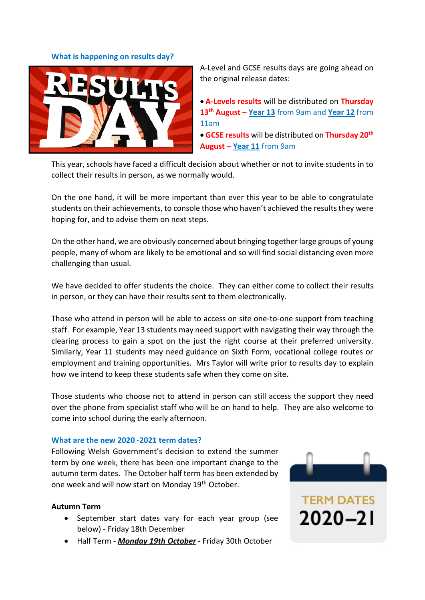#### **What is happening on results day?**



A-Level and GCSE results days are going ahead on the original release dates:

 **A-Levels results** will be distributed on **Thursday 13th August** – **Year 13** from 9am and **Year 12** from 11am

 **GCSE results** will be distributed on **Thursday 20th August** – **Year 11** from 9am

This year, schools have faced a difficult decision about whether or not to invite students in to collect their results in person, as we normally would.

On the one hand, it will be more important than ever this year to be able to congratulate students on their achievements, to console those who haven't achieved the results they were hoping for, and to advise them on next steps.

On the other hand, we are obviously concerned about bringing together large groups of young people, many of whom are likely to be emotional and so will find social distancing even more challenging than usual.

We have decided to offer students the choice. They can either come to collect their results in person, or they can have their results sent to them electronically.

Those who attend in person will be able to access on site one-to-one support from teaching staff. For example, Year 13 students may need support with navigating their way through the clearing process to gain a spot on the just the right course at their preferred university. Similarly, Year 11 students may need guidance on Sixth Form, vocational college routes or employment and training opportunities. Mrs Taylor will write prior to results day to explain how we intend to keep these students safe when they come on site.

Those students who choose not to attend in person can still access the support they need over the phone from specialist staff who will be on hand to help. They are also welcome to come into school during the early afternoon.

#### **What are the new 2020 -2021 term dates?**

Following Welsh Government's decision to extend the summer term by one week, there has been one important change to the autumn term dates. The October half term has been extended by one week and will now start on Monday 19th October.

#### **Autumn Term**

- September start dates vary for each year group (see below) - Friday 18th December
- Half Term *Monday 19th October* Friday 30th October



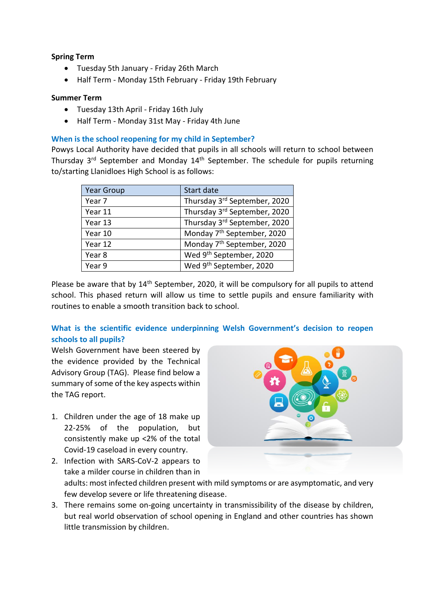## **Spring Term**

- Tuesday 5th January Friday 26th March
- Half Term Monday 15th February Friday 19th February

### **Summer Term**

- Tuesday 13th April Friday 16th July
- Half Term Monday 31st May Friday 4th June

# **When is the school reopening for my child in September?**

Powys Local Authority have decided that pupils in all schools will return to school between Thursday  $3^{rd}$  September and Monday  $14^{th}$  September. The schedule for pupils returning to/starting Llanidloes High School is as follows:

| <b>Year Group</b> | Start date                             |
|-------------------|----------------------------------------|
| Year 7            | Thursday 3rd September, 2020           |
| Year 11           | Thursday 3rd September, 2020           |
| Year 13           | Thursday 3rd September, 2020           |
| Year 10           | Monday 7 <sup>th</sup> September, 2020 |
| Year 12           | Monday 7 <sup>th</sup> September, 2020 |
| Year 8            | Wed 9th September, 2020                |
| Year 9            | Wed 9 <sup>th</sup> September, 2020    |

Please be aware that by 14<sup>th</sup> September, 2020, it will be compulsory for all pupils to attend school. This phased return will allow us time to settle pupils and ensure familiarity with routines to enable a smooth transition back to school.

# **What is the scientific evidence underpinning Welsh Government's decision to reopen schools to all pupils?**

Welsh Government have been steered by the evidence provided by the Technical Advisory Group (TAG). Please find below a summary of some of the key aspects within the TAG report.

1. Children under the age of 18 make up 22-25% of the population, but consistently make up <2% of the total Covid-19 caseload in every country.



- 2. Infection with SARS-CoV-2 appears to take a milder course in children than in adults: most infected children present with mild symptoms or are asymptomatic, and very few develop severe or life threatening disease.
- 3. There remains some on-going uncertainty in transmissibility of the disease by children, but real world observation of school opening in England and other countries has shown little transmission by children.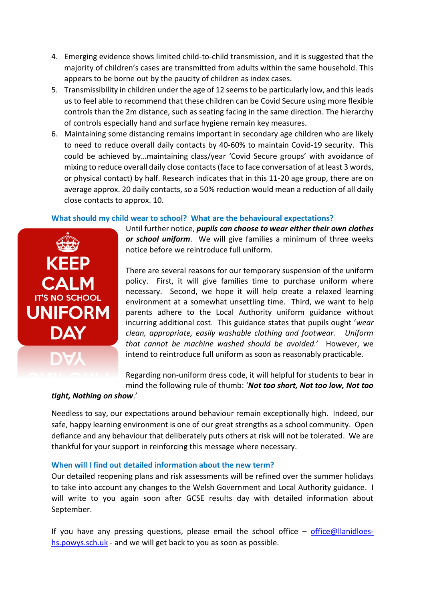- 4. Emerging evidence shows limited child-to-child transmission, and it is suggested that the majority of children's cases are transmitted from adults within the same household. This appears to be borne out by the paucity of children as index cases.
- 5. Transmissibility in children under the age of 12 seems to be particularly low, and this leads us to feel able to recommend that these children can be Covid Secure using more flexible controls than the 2m distance, such as seating facing in the same direction. The hierarchy of controls especially hand and surface hygiene remain key measures.
- 6. Maintaining some distancing remains important in secondary age children who are likely to need to reduce overall daily contacts by 40-60% to maintain Covid-19 security. This could be achieved by…maintaining class/year 'Covid Secure groups' with avoidance of mixing to reduce overall daily close contacts (face to face conversation of at least 3 words, or physical contact) by half. Research indicates that in this 11-20 age group, there are on average approx. 20 daily contacts, so a 50% reduction would mean a reduction of all daily close contacts to approx. 10.

### **What should my child wear to school? What are the behavioural expectations?**



Until further notice, *pupils can choose to wear either their own clothes or school uniform*. We will give families a minimum of three weeks notice before we reintroduce full uniform.

There are several reasons for our temporary suspension of the uniform policy. First, it will give families time to purchase uniform where necessary. Second, we hope it will help create a relaxed learning environment at a somewhat unsettling time. Third, we want to help parents adhere to the Local Authority uniform guidance without incurring additional cost. This guidance states that pupils ought '*wear clean, appropriate, easily washable clothing and footwear. Uniform that cannot be machine washed should be avoided.*' However, we intend to reintroduce full uniform as soon as reasonably practicable.

Regarding non-uniform dress code, it will helpful for students to bear in mind the following rule of thumb: '*Not too short, Not too low, Not too* 

#### *tight, Nothing on show*.'

Needless to say, our expectations around behaviour remain exceptionally high. Indeed, our safe, happy learning environment is one of our great strengths as a school community. Open defiance and any behaviour that deliberately puts others at risk will not be tolerated. We are thankful for your support in reinforcing this message where necessary.

# **When will I find out detailed information about the new term?**

Our detailed reopening plans and risk assessments will be refined over the summer holidays to take into account any changes to the Welsh Government and Local Authority guidance. I will write to you again soon after GCSE results day with detailed information about September.

If you have any pressing questions, please email the school office  $-$  [office@llanidloes](mailto:office@llanidloes-hs.powys.sch.uk)[hs.powys.sch.uk](mailto:office@llanidloes-hs.powys.sch.uk) - and we will get back to you as soon as possible.